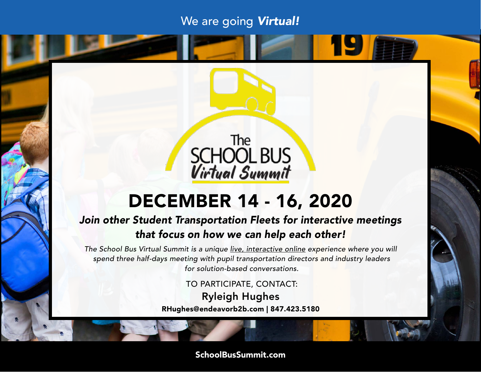# We are going *Virtual!*

<u> 19</u>



# DECEMBER 14 - 16, 2020

## *Join other Student Transportation Fleets for interactive meetings that focus on how we can help each other!*

*The School Bus Virtual Summit is a unique live, interactive online experience where you will spend three half-days meeting with pupil transportation directors and industry leaders for solution-based conversations.*

TO PARTICIPATE, CONTACT:

Ryleigh Hughes RHughes@endeavorb2b.com | 847.423.5180

SchoolBusSummit.com